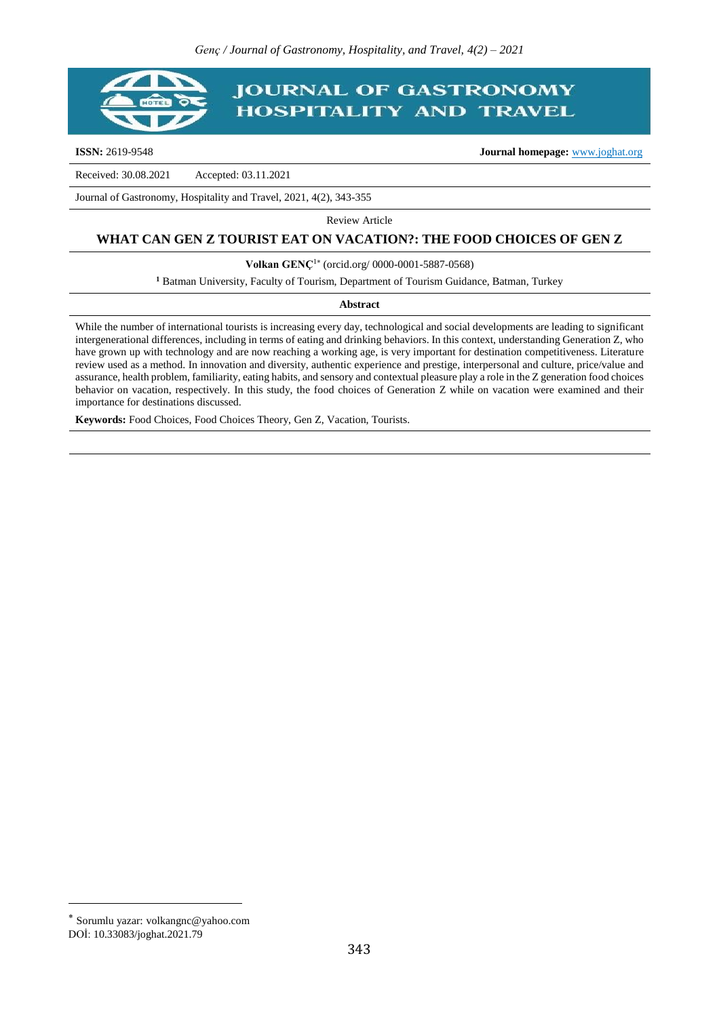

**ISSN:** 2619-9548 **Journal homepage:** [www.joghat.org](http://www.joghat.org/)

Received: 30.08.2021 Accepted: 03.11.2021

Journal of Gastronomy, Hospitality and Travel, 2021, 4(2), 343-355

Review Article

#### **WHAT CAN GEN Z TOURIST EAT ON VACATION?: THE FOOD CHOICES OF GEN Z**

**Volkan GENÇ**<sup>1</sup> (orcid.org/ 0000-0001-5887-0568)

**<sup>1</sup>** Batman University, Faculty of Tourism, Department of Tourism Guidance, Batman, Turkey

#### **Abstract**

While the number of international tourists is increasing every day, technological and social developments are leading to significant intergenerational differences, including in terms of eating and drinking behaviors. In this context, understanding Generation Z, who have grown up with technology and are now reaching a working age, is very important for destination competitiveness. Literature review used as a method. In innovation and diversity, authentic experience and prestige, interpersonal and culture, price/value and assurance, health problem, familiarity, eating habits, and sensory and contextual pleasure play a role in the Z generation food choices behavior on vacation, respectively. In this study, the food choices of Generation Z while on vacation were examined and their importance for destinations discussed.

**Keywords:** Food Choices, Food Choices Theory, Gen Z, Vacation, Tourists.

 $\overline{a}$ 

Sorumlu yazar: volkangnc@yahoo.com DOİ: 10.33083/joghat.2021.79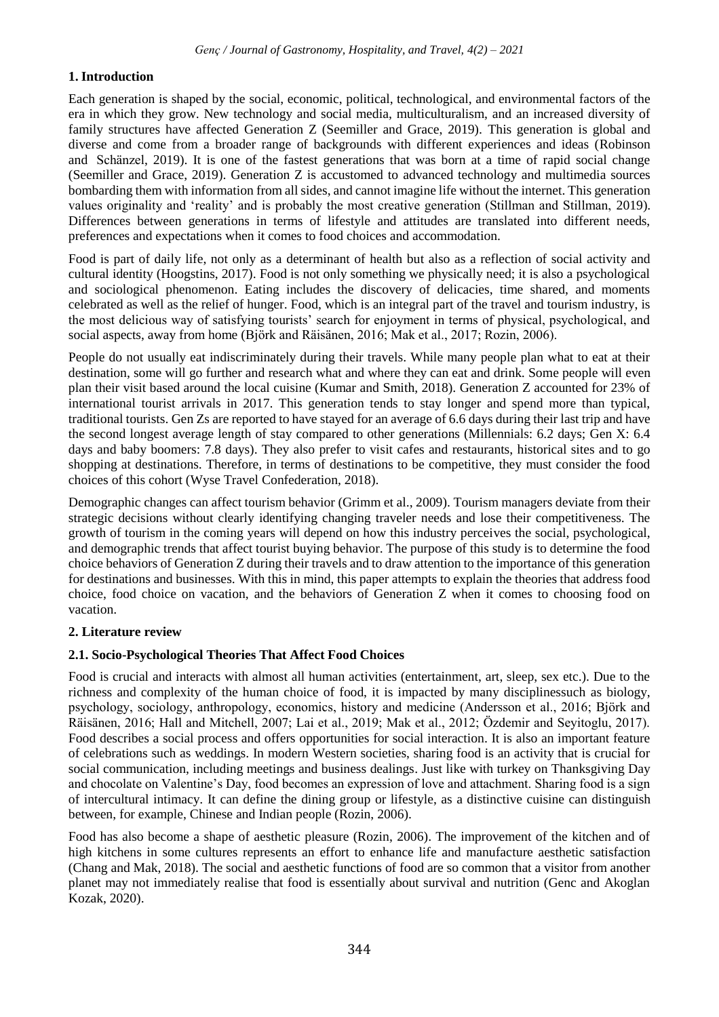# **1. Introduction**

Each generation is shaped by the social, economic, political, technological, and environmental factors of the era in which they grow. New technology and social media, multiculturalism, and an increased diversity of family structures have affected Generation Z (Seemiller and Grace, 2019). This generation is global and diverse and come from a broader range of backgrounds with different experiences and ideas [\(Robinson](https://www.emerald.com/insight/search?q=Victor%20Mueke%20Robinson) and [Schänzel,](https://www.emerald.com/insight/search?q=Heike%20A.%20Sch%C3%A4nzel) 2019). It is one of the fastest generations that was born at a time of rapid social change (Seemiller and Grace, 2019). Generation Z is accustomed to advanced technology and multimedia sources bombarding them with information from all sides, and cannot imagine life without the internet. This generation values originality and 'reality' and is probably the most creative generation (Stillman and Stillman, 2019). Differences between generations in terms of lifestyle and attitudes are translated into different needs, preferences and expectations when it comes to food choices and accommodation.

Food is part of daily life, not only as a determinant of health but also as a reflection of social activity and cultural identity (Hoogstins, 2017). Food is not only something we physically need; it is also a psychological and sociological phenomenon. Eating includes the discovery of delicacies, time shared, and moments celebrated as well as the relief of hunger. Food, which is an integral part of the travel and tourism industry, is the most delicious way of satisfying tourists' search for enjoyment in terms of physical, psychological, and social aspects, away from home (Björk and Räisänen, 2016; Mak et al., 2017; Rozin, 2006).

People do not usually eat indiscriminately during their travels. While many people plan what to eat at their destination, some will go further and research what and where they can eat and drink. Some people will even plan their visit based around the local cuisine (Kumar and Smith, 2018). Generation Z accounted for 23% of international tourist arrivals in 2017. This generation tends to stay longer and spend more than typical, traditional tourists. Gen Zs are reported to have stayed for an average of 6.6 days during their last trip and have the second longest average length of stay compared to other generations (Millennials: 6.2 days; Gen X: 6.4 days and baby boomers: 7.8 days). They also prefer to visit cafes and restaurants, historical sites and to go shopping at destinations. Therefore, in terms of destinations to be competitive, they must consider the food choices of this cohort (Wyse Travel Confederation, 2018).

Demographic changes can affect tourism behavior (Grimm et al., 2009). Tourism managers deviate from their strategic decisions without clearly identifying changing traveler needs and lose their competitiveness. The growth of tourism in the coming years will depend on how this industry perceives the social, psychological, and demographic trends that affect tourist buying behavior. The purpose of this study is to determine the food choice behaviors of Generation Z during their travels and to draw attention to the importance of this generation for destinations and businesses. With this in mind, this paper attempts to explain the theories that address food choice, food choice on vacation, and the behaviors of Generation Z when it comes to choosing food on vacation.

# **2. Literature review**

# **2.1. Socio-Psychological Theories That Affect Food Choices**

Food is crucial and interacts with almost all human activities (entertainment, art, sleep, sex etc.). Due to the richness and complexity of the human choice of food, it is impacted by many disciplinessuch as biology, psychology, sociology, anthropology, economics, history and medicine (Andersson et al., 2016; Björk and Räisänen, 2016; Hall and Mitchell, 2007; Lai et al., 2019; Mak et al., 2012; Özdemir and Seyitoglu, 2017). Food describes a social process and offers opportunities for social interaction. It is also an important feature of celebrations such as weddings. In modern Western societies, sharing food is an activity that is crucial for social communication, including meetings and business dealings. Just like with turkey on Thanksgiving Day and chocolate on Valentine's Day, food becomes an expression of love and attachment. Sharing food is a sign of intercultural intimacy. It can define the dining group or lifestyle, as a distinctive cuisine can distinguish between, for example, Chinese and Indian people (Rozin, 2006).

Food has also become a shape of aesthetic pleasure (Rozin, 2006). The improvement of the kitchen and of high kitchens in some cultures represents an effort to enhance life and manufacture aesthetic satisfaction (Chang and Mak, 2018). The social and aesthetic functions of food are so common that a visitor from another planet may not immediately realise that food is essentially about survival and nutrition (Genc and Akoglan Kozak, 2020).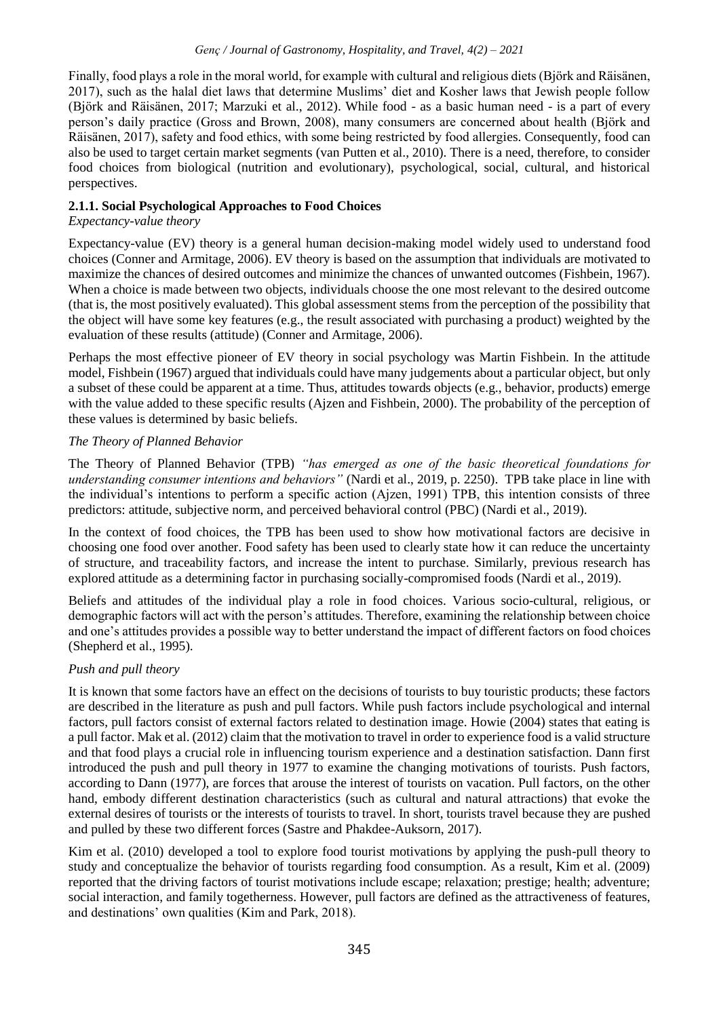Finally, food plays a role in the moral world, for example with cultural and religious diets (Björk and Räisänen, 2017), such as the halal diet laws that determine Muslims' diet and Kosher laws that Jewish people follow (Björk and Räisänen, 2017; Marzuki et al., 2012). While food - as a basic human need - is a part of every person's daily practice (Gross and Brown, 2008), many consumers are concerned about health (Björk and Räisänen, 2017), safety and food ethics, with some being restricted by food allergies. Consequently, food can also be used to target certain market segments (van Putten et al., 2010). There is a need, therefore, to consider food choices from biological (nutrition and evolutionary), psychological, social, cultural, and historical perspectives.

## **2.1.1. Social Psychological Approaches to Food Choices**

### *Expectancy-value theory*

Expectancy-value (EV) theory is a general human decision-making model widely used to understand food choices (Conner and Armitage, 2006). EV theory is based on the assumption that individuals are motivated to maximize the chances of desired outcomes and minimize the chances of unwanted outcomes (Fishbein, 1967). When a choice is made between two objects, individuals choose the one most relevant to the desired outcome (that is, the most positively evaluated). This global assessment stems from the perception of the possibility that the object will have some key features (e.g., the result associated with purchasing a product) weighted by the evaluation of these results (attitude) (Conner and Armitage, 2006).

Perhaps the most effective pioneer of EV theory in social psychology was Martin Fishbein. In the attitude model, Fishbein (1967) argued that individuals could have many judgements about a particular object, but only a subset of these could be apparent at a time. Thus, attitudes towards objects (e.g., behavior, products) emerge with the value added to these specific results (Ajzen and Fishbein, 2000). The probability of the perception of these values is determined by basic beliefs.

### *The Theory of [Planned Behavior](https://www.dphu.org/uploads/attachements/books/books_4931_0.pdf)*

The Theory of Planned Behavior (TPB) *"has emerged as one of the basic theoretical foundations for understanding consumer intentions and behaviors"* (Nardi et al., 2019, p. 2250). TPB take place in line with the individual's intentions to perform a specific action (Ajzen, 1991) TPB, this intention consists of three predictors: attitude, subjective norm, and perceived behavioral control (PBC) (Nardi et al., 2019).

In the context of food choices, the TPB has been used to show how motivational factors are decisive in choosing one food over another. Food safety has been used to clearly state how it can reduce the uncertainty of structure, and traceability factors, and increase the intent to purchase. Similarly, previous research has explored attitude as a determining factor in purchasing socially-compromised foods (Nardi et al., 2019).

Beliefs and attitudes of the individual play a role in food choices. Various socio-cultural, religious, or demographic factors will act with the person's attitudes. Therefore, examining the relationship between choice and one's attitudes provides a possible way to better understand the impact of different factors on food choices (Shepherd et al., 1995).

# *Push and pull theory*

It is known that some factors have an effect on the decisions of tourists to buy touristic products; these factors are described in the literature as push and pull factors. While push factors include psychological and internal factors, pull factors consist of external factors related to destination image. Howie (2004) states that eating is a pull factor. Mak et al. (2012) claim that the motivation to travel in order to experience food is a valid structure and that food plays a crucial role in influencing tourism experience and a destination satisfaction. Dann first introduced the push and pull theory in 1977 to examine the changing motivations of tourists. Push factors, according to Dann (1977), are forces that arouse the interest of tourists on vacation. Pull factors, on the other hand, embody different destination characteristics (such as cultural and natural attractions) that evoke the external desires of tourists or the interests of tourists to travel. In short, tourists travel because they are pushed and pulled by these two different forces (Sastre and Phakdee-Auksorn, 2017).

Kim et al. (2010) developed a tool to explore food tourist motivations by applying the push-pull theory to study and conceptualize the behavior of tourists regarding food consumption. As a result, Kim et al. (2009) reported that the driving factors of tourist motivations include escape; relaxation; prestige; health; adventure; social interaction, and family togetherness. However, pull factors are defined as the attractiveness of features, and destinations' own qualities (Kim and Park, 2018).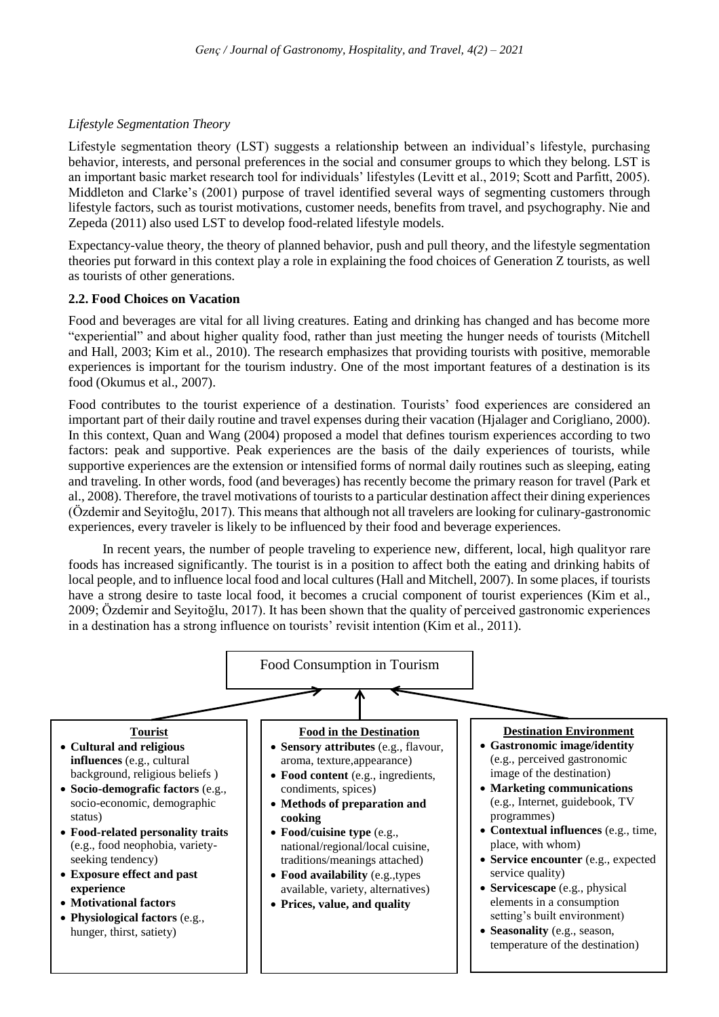## *Lifestyle Segmentation Theory*

Lifestyle segmentation theory (LST) suggests a relationship between an individual's lifestyle, purchasing behavior, interests, and personal preferences in the social and consumer groups to which they belong. LST is an important basic market research tool for individuals' lifestyles (Levitt et al., 2019; Scott and Parfitt, 2005). Middleton and Clarke's (2001) purpose of travel identified several ways of segmenting customers through lifestyle factors, such as tourist motivations, customer needs, benefits from travel, and psychography. Nie and Zepeda (2011) also used LST to develop food-related lifestyle models.

Expectancy-value theory, the theory of planned behavior, push and pull theory, and the lifestyle segmentation theories put forward in this context play a role in explaining the food choices of Generation Z tourists, as well as tourists of other generations.

### **2.2. Food Choices on Vacation**

Food and beverages are vital for all living creatures. Eating and drinking has changed and has become more "experiential" and about higher quality food, rather than just meeting the hunger needs of tourists (Mitchell and Hall, 2003; Kim et al., 2010). The research emphasizes that providing tourists with positive, memorable experiences is important for the tourism industry. One of the most important features of a destination is its food (Okumus et al., 2007).

Food contributes to the tourist experience of a destination. Tourists' food experiences are considered an important part of their daily routine and travel expenses during their vacation (Hjalager and Corigliano, 2000). In this context, Quan and Wang (2004) proposed a model that defines tourism experiences according to two factors: peak and supportive. Peak experiences are the basis of the daily experiences of tourists, while supportive experiences are the extension or intensified forms of normal daily routines such as sleeping, eating and traveling. In other words, food (and beverages) has recently become the primary reason for travel (Park et al., 2008). Therefore, the travel motivations of tourists to a particular destination affect their dining experiences (Özdemir and Seyitoğlu, 2017). This means that although not all travelers are looking for culinary-gastronomic experiences, every traveler is likely to be influenced by their food and beverage experiences.

In recent years, the number of people traveling to experience new, different, local, high qualityor rare foods has increased significantly. The tourist is in a position to affect both the eating and drinking habits of local people, and to influence local food and local cultures (Hall and Mitchell, 2007). In some places, if tourists have a strong desire to taste local food, it becomes a crucial component of tourist experiences (Kim et al., 2009; Özdemir and Seyitoğlu, 2017). It has been shown that the quality of perceived gastronomic experiences in a destination has a strong influence on tourists' revisit intention (Kim et al., 2011).

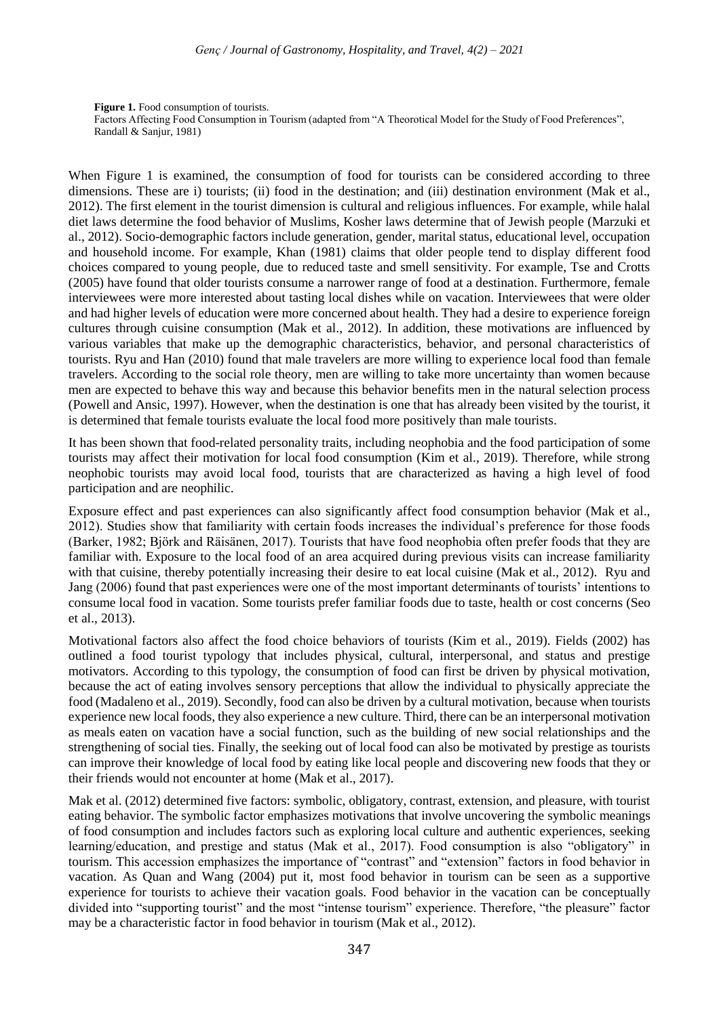Figure 1. Food consumption of tourists.

Factors Affecting Food Consumption in Tourism (adapted from "A Theorotical Model for the Study of Food Preferences", Randall & Sanjur, 1981)

When Figure 1 is examined, the consumption of food for tourists can be considered according to three dimensions. These are i) tourists; (ii) food in the destination; and (iii) destination environment (Mak et al., 2012). The first element in the tourist dimension is cultural and religious influences. For example, while halal diet laws determine the food behavior of Muslims, Kosher laws determine that of Jewish people (Marzuki et al., 2012). Socio-demographic factors include generation, gender, marital status, educational level, occupation and household income. For example, Khan (1981) claims that older people tend to display different food choices compared to young people, due to reduced taste and smell sensitivity. For example, Tse and Crotts (2005) have found that older tourists consume a narrower range of food at a destination. Furthermore, female interviewees were more interested about tasting local dishes while on vacation. Interviewees that were older and had higher levels of education were more concerned about health. They had a desire to experience foreign cultures through cuisine consumption (Mak et al., 2012). In addition, these motivations are influenced by various variables that make up the demographic characteristics, behavior, and personal characteristics of tourists. Ryu and Han (2010) found that male travelers are more willing to experience local food than female travelers. According to the social role theory, men are willing to take more uncertainty than women because men are expected to behave this way and because this behavior benefits men in the natural selection process (Powell and Ansic, 1997). However, when the destination is one that has already been visited by the tourist, it is determined that female tourists evaluate the local food more positively than male tourists.

It has been shown that food-related personality traits, including neophobia and the food participation of some tourists may affect their motivation for local food consumption (Kim et al., 2019). Therefore, while strong neophobic tourists may avoid local food, tourists that are characterized as having a high level of food participation and are neophilic.

Exposure effect and past experiences can also significantly affect food consumption behavior (Mak et al., 2012). Studies show that familiarity with certain foods increases the individual's preference for those foods (Barker, 1982; Björk and Räisänen, 2017). Tourists that have food neophobia often prefer foods that they are familiar with. Exposure to the local food of an area acquired during previous visits can increase familiarity with that cuisine, thereby potentially increasing their desire to eat local cuisine (Mak et al., 2012). Ryu and Jang (2006) found that past experiences were one of the most important determinants of tourists' intentions to consume local food in vacation. Some tourists prefer familiar foods due to taste, health or cost concerns (Seo et al., 2013).

Motivational factors also affect the food choice behaviors of tourists (Kim et al., 2019). Fields (2002) has outlined a food tourist typology that includes physical, cultural, interpersonal, and status and prestige motivators. According to this typology, the consumption of food can first be driven by physical motivation, because the act of eating involves sensory perceptions that allow the individual to physically appreciate the food (Madaleno et al., 2019). Secondly, food can also be driven by a cultural motivation, because when tourists experience new local foods, they also experience a new culture. Third, there can be an interpersonal motivation as meals eaten on vacation have a social function, such as the building of new social relationships and the strengthening of social ties. Finally, the seeking out of local food can also be motivated by prestige as tourists can improve their knowledge of local food by eating like local people and discovering new foods that they or their friends would not encounter at home (Mak et al., 2017).

Mak et al. (2012) determined five factors: symbolic, obligatory, contrast, extension, and pleasure, with tourist eating behavior. The symbolic factor emphasizes motivations that involve uncovering the symbolic meanings of food consumption and includes factors such as exploring local culture and authentic experiences, seeking learning/education, and prestige and status (Mak et al., 2017). Food consumption is also "obligatory" in tourism. This accession emphasizes the importance of "contrast" and "extension" factors in food behavior in vacation. As Quan and Wang (2004) put it, most food behavior in tourism can be seen as a supportive experience for tourists to achieve their vacation goals. Food behavior in the vacation can be conceptually divided into "supporting tourist" and the most "intense tourism" experience. Therefore, "the pleasure" factor may be a characteristic factor in food behavior in tourism (Mak et al., 2012).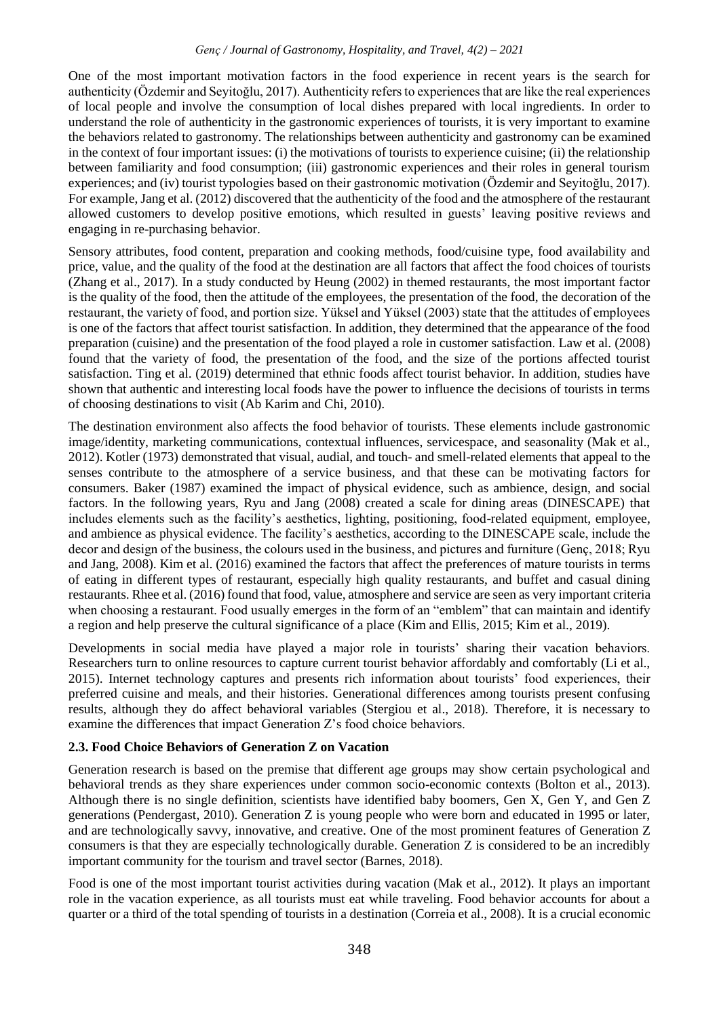One of the most important motivation factors in the food experience in recent years is the search for authenticity (Özdemir and Seyitoğlu, 2017). Authenticity refers to experiences that are like the real experiences of local people and involve the consumption of local dishes prepared with local ingredients. In order to understand the role of authenticity in the gastronomic experiences of tourists, it is very important to examine the behaviors related to gastronomy. The relationships between authenticity and gastronomy can be examined in the context of four important issues: (i) the motivations of tourists to experience cuisine; (ii) the relationship between familiarity and food consumption; (iii) gastronomic experiences and their roles in general tourism experiences; and (iv) tourist typologies based on their gastronomic motivation (Özdemir and Seyitoğlu, 2017). For example, Jang et al. (2012) discovered that the authenticity of the food and the atmosphere of the restaurant allowed customers to develop positive emotions, which resulted in guests' leaving positive reviews and engaging in re-purchasing behavior.

Sensory attributes, food content, preparation and cooking methods, food/cuisine type, food availability and price, value, and the quality of the food at the destination are all factors that affect the food choices of tourists (Zhang et al., 2017). In a study conducted by Heung (2002) in themed restaurants, the most important factor is the quality of the food, then the attitude of the employees, the presentation of the food, the decoration of the restaurant, the variety of food, and portion size. Yüksel and Yüksel (2003) state that the attitudes of employees is one of the factors that affect tourist satisfaction. In addition, they determined that the appearance of the food preparation (cuisine) and the presentation of the food played a role in customer satisfaction. Law et al. (2008) found that the variety of food, the presentation of the food, and the size of the portions affected tourist satisfaction. Ting et al. (2019) determined that ethnic foods affect tourist behavior. In addition, studies have shown that authentic and interesting local foods have the power to influence the decisions of tourists in terms of choosing destinations to visit (Ab Karim and Chi, 2010).

The destination environment also affects the food behavior of tourists. These elements include gastronomic image/identity, marketing communications, contextual influences, servicespace, and seasonality (Mak et al., 2012). Kotler (1973) demonstrated that visual, audial, and touch- and smell-related elements that appeal to the senses contribute to the atmosphere of a service business, and that these can be motivating factors for consumers. Baker (1987) examined the impact of physical evidence, such as ambience, design, and social factors. In the following years, Ryu and Jang (2008) created a scale for dining areas (DINESCAPE) that includes elements such as the facility's aesthetics, lighting, positioning, food-related equipment, employee, and ambience as physical evidence. The facility's aesthetics, according to the DINESCAPE scale, include the decor and design of the business, the colours used in the business, and pictures and furniture (Genç, 2018; Ryu and Jang, 2008). Kim et al. (2016) examined the factors that affect the preferences of mature tourists in terms of eating in different types of restaurant, especially high quality restaurants, and buffet and casual dining restaurants. Rhee et al. (2016) found that food, value, atmosphere and service are seen as very important criteria when choosing a restaurant. Food usually emerges in the form of an "emblem" that can maintain and identify a region and help preserve the cultural significance of a place (Kim and Ellis, 2015; Kim et al., 2019).

Developments in social media have played a major role in tourists' sharing their vacation behaviors. Researchers turn to online resources to capture current tourist behavior affordably and comfortably (Li et al., 2015). Internet technology captures and presents rich information about tourists' food experiences, their preferred cuisine and meals, and their histories. Generational differences among tourists present confusing results, although they do affect behavioral variables (Stergiou et al., 2018). Therefore, it is necessary to examine the differences that impact Generation Z's food choice behaviors.

# **2.3. Food Choice Behaviors of Generation Z on Vacation**

Generation research is based on the premise that different age groups may show certain psychological and behavioral trends as they share experiences under common socio-economic contexts (Bolton et al., 2013). Although there is no single definition, scientists have identified baby boomers, Gen X, Gen Y, and Gen Z generations (Pendergast, 2010). Generation Z is young people who were born and educated in 1995 or later, and are technologically savvy, innovative, and creative. One of the most prominent features of Generation Z consumers is that they are especially technologically durable. Generation Z is considered to be an incredibly important community for the tourism and travel sector (Barnes, 2018).

Food is one of the most important tourist activities during vacation (Mak et al., 2012). It plays an important role in the vacation experience, as all tourists must eat while traveling. Food behavior accounts for about a quarter or a third of the total spending of tourists in a destination (Correia et al., 2008). It is a crucial economic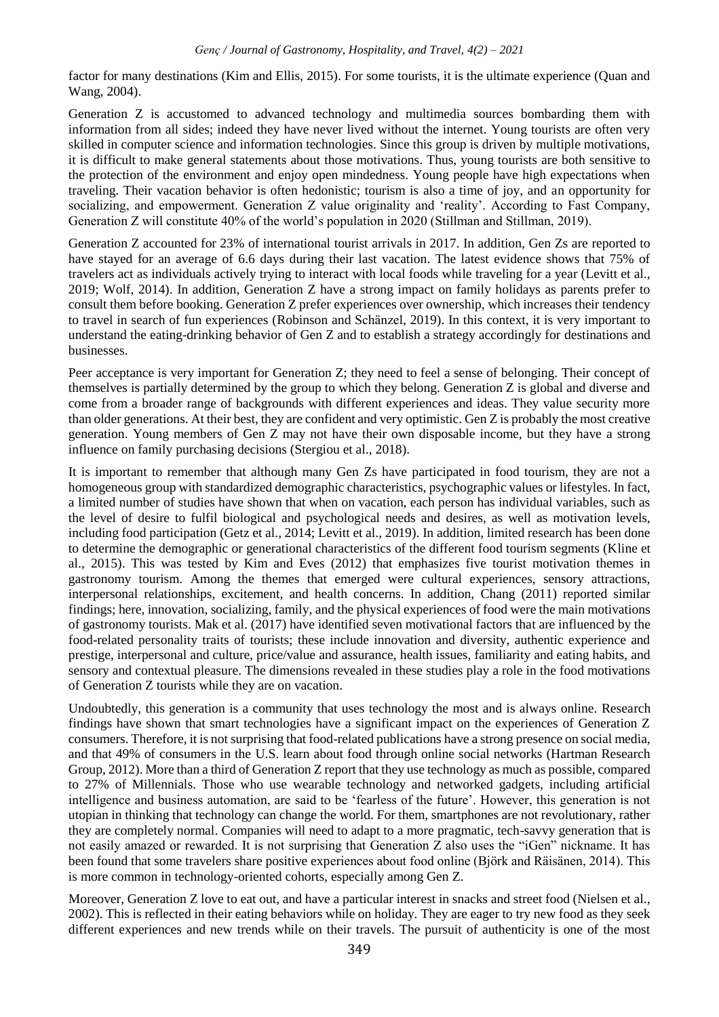factor for many destinations (Kim and Ellis, 2015). For some tourists, it is the ultimate experience (Quan and Wang, 2004).

Generation Z is accustomed to advanced technology and multimedia sources bombarding them with information from all sides; indeed they have never lived without the internet. Young tourists are often very skilled in computer science and information technologies. Since this group is driven by multiple motivations, it is difficult to make general statements about those motivations. Thus, young tourists are both sensitive to the protection of the environment and enjoy open mindedness. Young people have high expectations when traveling. Their vacation behavior is often hedonistic; tourism is also a time of joy, and an opportunity for socializing, and empowerment. Generation Z value originality and 'reality'. According to Fast Company, Generation Z will constitute 40% of the world's population in 2020 (Stillman and Stillman, 2019).

Generation Z accounted for 23% of international tourist arrivals in 2017. In addition, Gen Zs are reported to have stayed for an average of 6.6 days during their last vacation. The latest evidence shows that 75% of travelers act as individuals actively trying to interact with local foods while traveling for a year (Levitt et al., 2019; Wolf, 2014). In addition, Generation Z have a strong impact on family holidays as parents prefer to consult them before booking. Generation Z prefer experiences over ownership, which increases their tendency to travel in search of fun experiences [\(Robinson](https://www.emerald.com/insight/search?q=Victor%20Mueke%20Robinson) and [Schänzel,](https://www.emerald.com/insight/search?q=Heike%20A.%20Sch%C3%A4nzel) 2019). In this context, it is very important to understand the eating-drinking behavior of Gen Z and to establish a strategy accordingly for destinations and businesses.

Peer acceptance is very important for Generation Z; they need to feel a sense of belonging. Their concept of themselves is partially determined by the group to which they belong. Generation Z is global and diverse and come from a broader range of backgrounds with different experiences and ideas. They value security more than older generations. At their best, they are confident and very optimistic. Gen Z is probably the most creative generation. Young members of Gen Z may not have their own disposable income, but they have a strong influence on family purchasing decisions (Stergiou et al., 2018).

It is important to remember that although many Gen Zs have participated in food tourism, they are not a homogeneous group with standardized demographic characteristics, psychographic values or lifestyles. In fact, a limited number of studies have shown that when on vacation, each person has individual variables, such as the level of desire to fulfil biological and psychological needs and desires, as well as motivation levels, including food participation (Getz et al., 2014; Levitt et al., 2019). In addition, limited research has been done to determine the demographic or generational characteristics of the different food tourism segments (Kline et al., 2015). This was tested by Kim and Eves (2012) that emphasizes five tourist motivation themes in gastronomy tourism. Among the themes that emerged were cultural experiences, sensory attractions, interpersonal relationships, excitement, and health concerns. In addition, Chang (2011) reported similar findings; here, innovation, socializing, family, and the physical experiences of food were the main motivations of gastronomy tourists. Mak et al. (2017) have identified seven motivational factors that are influenced by the food-related personality traits of tourists; these include innovation and diversity, authentic experience and prestige, interpersonal and culture, price/value and assurance, health issues, familiarity and eating habits, and sensory and contextual pleasure. The dimensions revealed in these studies play a role in the food motivations of Generation Z tourists while they are on vacation.

Undoubtedly, this generation is a community that uses technology the most and is always online. Research findings have shown that smart technologies have a significant impact on the experiences of Generation Z consumers. Therefore, it is not surprising that food-related publications have a strong presence on social media, and that 49% of consumers in the U.S. learn about food through online social networks (Hartman Research Group, 2012). More than a third of Generation Z report that they use technology as much as possible, compared to 27% of Millennials. Those who use wearable technology and networked gadgets, including artificial intelligence and business automation, are said to be 'fearless of the future'. However, this generation is not utopian in thinking that technology can change the world. For them, smartphones are not revolutionary, rather they are completely normal. Companies will need to adapt to a more pragmatic, tech-savvy generation that is not easily amazed or rewarded. It is not surprising that Generation Z also uses the "iGen" nickname. It has been found that some travelers share positive experiences about food online (Björk and Räisänen, 2014). This is more common in technology-oriented cohorts, especially among Gen Z.

Moreover, Generation Z love to eat out, and have a particular interest in snacks and street food (Nielsen et al., 2002). This is reflected in their eating behaviors while on holiday. They are eager to try new food as they seek different experiences and new trends while on their travels. The pursuit of authenticity is one of the most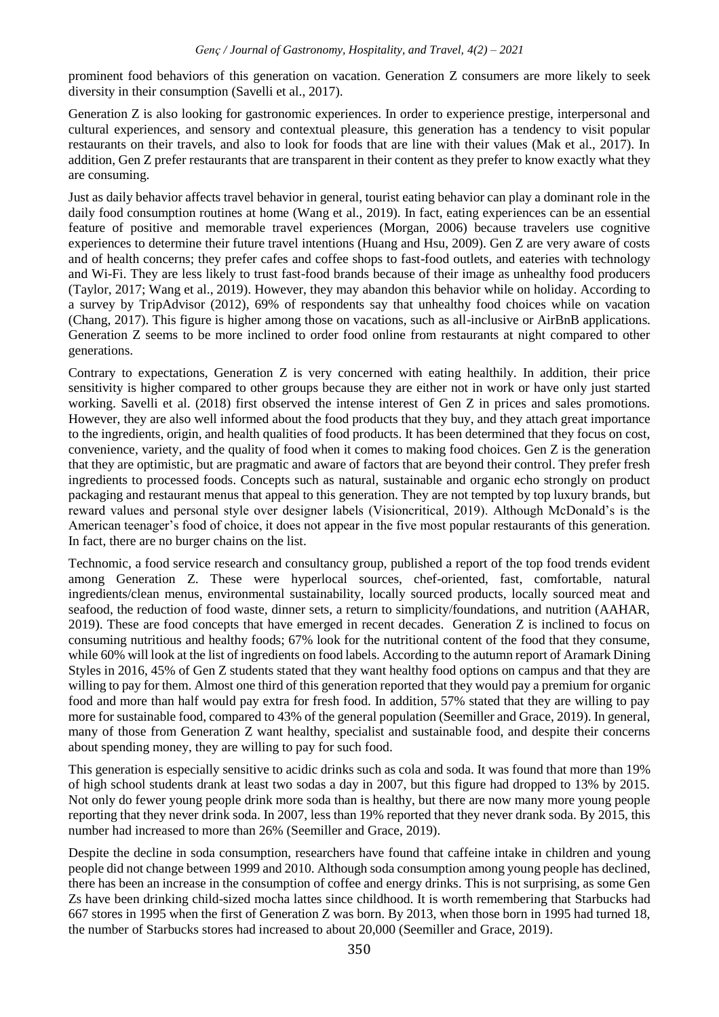prominent food behaviors of this generation on vacation. Generation Z consumers are more likely to seek diversity in their consumption (Savelli et al., 2017).

Generation Z is also looking for gastronomic experiences. In order to experience prestige, interpersonal and cultural experiences, and sensory and contextual pleasure, this generation has a tendency to visit popular restaurants on their travels, and also to look for foods that are line with their values (Mak et al., 2017). In addition, Gen Z prefer restaurants that are transparent in their content as they prefer to know exactly what they are consuming.

Just as daily behavior affects travel behavior in general, tourist eating behavior can play a dominant role in the daily food consumption routines at home (Wang et al., 2019). In fact, eating experiences can be an essential feature of positive and memorable travel experiences (Morgan, 2006) because travelers use cognitive experiences to determine their future travel intentions (Huang and Hsu, 2009). Gen Z are very aware of costs and of health concerns; they prefer cafes and coffee shops to fast-food outlets, and eateries with technology and Wi-Fi. They are less likely to trust fast-food brands because of their image as unhealthy food producers (Taylor, 2017; Wang et al., 2019). However, they may abandon this behavior while on holiday. According to a survey by TripAdvisor (2012), 69% of respondents say that unhealthy food choices while on vacation (Chang, 2017). This figure is higher among those on vacations, such as all-inclusive or AirBnB applications. Generation Z seems to be more inclined to order food online from restaurants at night compared to other generations.

Contrary to expectations, Generation Z is very concerned with eating healthily. In addition, their price sensitivity is higher compared to other groups because they are either not in work or have only just started working. Savelli et al. (2018) first observed the intense interest of Gen Z in prices and sales promotions. However, they are also well informed about the food products that they buy, and they attach great importance to the ingredients, origin, and health qualities of food products. It has been determined that they focus on cost, convenience, variety, and the quality of food when it comes to making food choices. Gen Z is the generation that they are optimistic, but are pragmatic and aware of factors that are beyond their control. They prefer fresh ingredients to processed foods. Concepts such as natural, sustainable and organic echo strongly on product packaging and restaurant menus that appeal to this generation. They are not tempted by top luxury brands, but reward values and personal style over designer labels (Visioncritical, 2019). Although McDonald's is the American teenager's food of choice, it does not appear in the five most popular restaurants of this generation. In fact, there are no burger chains on the list.

Technomic, a food service research and consultancy group, published a report of the top food trends evident among Generation Z. These were hyperlocal sources, chef-oriented, fast, comfortable, natural ingredients/clean menus, environmental sustainability, locally sourced products, locally sourced meat and seafood, the reduction of food waste, dinner sets, a return to simplicity/foundations, and nutrition (AAHAR, 2019). These are food concepts that have emerged in recent decades. Generation Z is inclined to focus on consuming nutritious and healthy foods; 67% look for the nutritional content of the food that they consume, while 60% will look at the list of ingredients on food labels. According to the autumn report of Aramark Dining Styles in 2016, 45% of Gen Z students stated that they want healthy food options on campus and that they are willing to pay for them. Almost one third of this generation reported that they would pay a premium for organic food and more than half would pay extra for fresh food. In addition, 57% stated that they are willing to pay more for sustainable food, compared to 43% of the general population (Seemiller and Grace, 2019). In general, many of those from Generation Z want healthy, specialist and sustainable food, and despite their concerns about spending money, they are willing to pay for such food.

This generation is especially sensitive to acidic drinks such as cola and soda. It was found that more than 19% of high school students drank at least two sodas a day in 2007, but this figure had dropped to 13% by 2015. Not only do fewer young people drink more soda than is healthy, but there are now many more young people reporting that they never drink soda. In 2007, less than 19% reported that they never drank soda. By 2015, this number had increased to more than 26% (Seemiller and Grace, 2019).

Despite the decline in soda consumption, researchers have found that caffeine intake in children and young people did not change between 1999 and 2010. Although soda consumption among young people has declined, there has been an increase in the consumption of coffee and energy drinks. This is not surprising, as some Gen Zs have been drinking child-sized mocha lattes since childhood. It is worth remembering that Starbucks had 667 stores in 1995 when the first of Generation Z was born. By 2013, when those born in 1995 had turned 18, the number of Starbucks stores had increased to about 20,000 (Seemiller and Grace, 2019).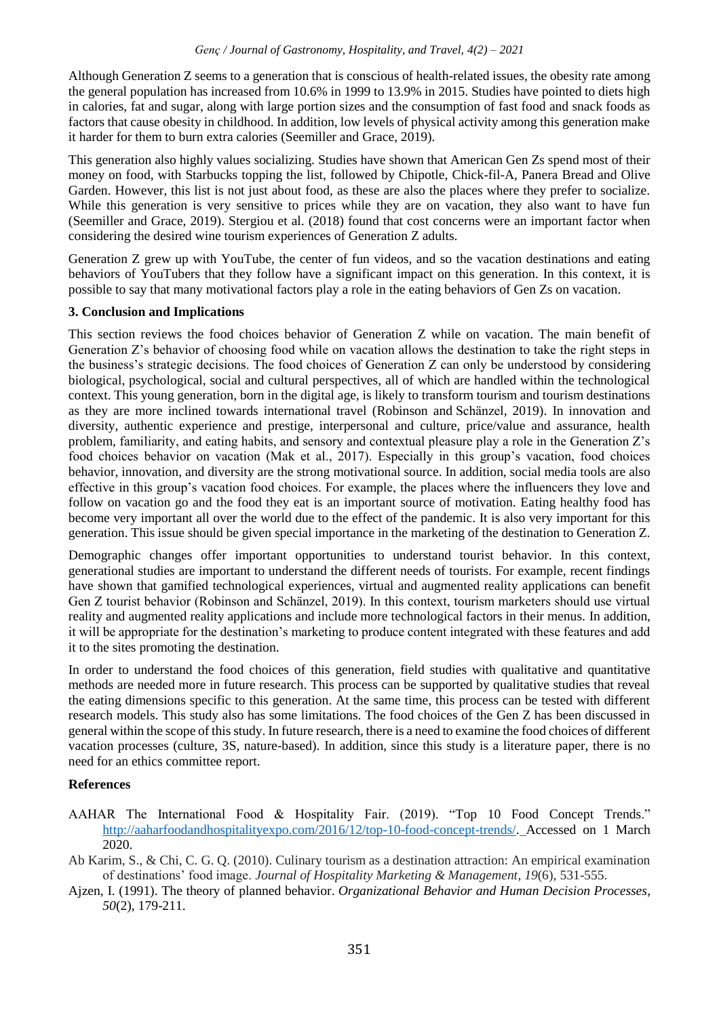Although Generation Z seems to a generation that is conscious of health-related issues, the obesity rate among the general population has increased from 10.6% in 1999 to 13.9% in 2015. Studies have pointed to diets high in calories, fat and sugar, along with large portion sizes and the consumption of fast food and snack foods as factors that cause obesity in childhood. In addition, low levels of physical activity among this generation make it harder for them to burn extra calories (Seemiller and Grace, 2019).

This generation also highly values socializing. Studies have shown that American Gen Zs spend most of their money on food, with Starbucks topping the list, followed by Chipotle, Chick-fil-A, Panera Bread and Olive Garden. However, this list is not just about food, as these are also the places where they prefer to socialize. While this generation is very sensitive to prices while they are on vacation, they also want to have fun (Seemiller and Grace, 2019). Stergiou et al. (2018) found that cost concerns were an important factor when considering the desired wine tourism experiences of Generation Z adults.

Generation Z grew up with YouTube, the center of fun videos, and so the vacation destinations and eating behaviors of YouTubers that they follow have a significant impact on this generation. In this context, it is possible to say that many motivational factors play a role in the eating behaviors of Gen Zs on vacation.

# **3. Conclusion and Implications**

This section reviews the food choices behavior of Generation Z while on vacation. The main benefit of Generation Z's behavior of choosing food while on vacation allows the destination to take the right steps in the business's strategic decisions. The food choices of Generation Z can only be understood by considering biological, psychological, social and cultural perspectives, all of which are handled within the technological context. This young generation, born in the digital age, is likely to transform tourism and tourism destinations as they are more inclined towards international travel [\(Robinson](https://www.emerald.com/insight/search?q=Victor%20Mueke%20Robinson) and [Schänzel,](https://www.emerald.com/insight/search?q=Heike%20A.%20Sch%C3%A4nzel) 2019). In innovation and diversity, authentic experience and prestige, interpersonal and culture, price/value and assurance, health problem, familiarity, and eating habits, and sensory and contextual pleasure play a role in the Generation Z's food choices behavior on vacation (Mak et al., 2017). Especially in this group's vacation, food choices behavior, innovation, and diversity are the strong motivational source. In addition, social media tools are also effective in this group's vacation food choices. For example, the places where the influencers they love and follow on vacation go and the food they eat is an important source of motivation. Eating healthy food has become very important all over the world due to the effect of the pandemic. It is also very important for this generation. This issue should be given special importance in the marketing of the destination to Generation Z.

Demographic changes offer important opportunities to understand tourist behavior. In this context, generational studies are important to understand the different needs of tourists. For example, recent findings have shown that gamified technological experiences, virtual and augmented reality applications can benefit Gen Z tourist behavior (Robinson and Schänzel, 2019). In this context, tourism marketers should use virtual reality and augmented reality applications and include more technological factors in their menus. In addition, it will be appropriate for the destination's marketing to produce content integrated with these features and add it to the sites promoting the destination.

In order to understand the food choices of this generation, field studies with qualitative and quantitative methods are needed more in future research. This process can be supported by qualitative studies that reveal the eating dimensions specific to this generation. At the same time, this process can be tested with different research models. This study also has some limitations. The food choices of the Gen Z has been discussed in general within the scope of this study. In future research, there is a need to examine the food choices of different vacation processes (culture, 3S, nature-based). In addition, since this study is a literature paper, there is no need for an ethics committee report.

# **References**

- AAHAR The International Food & Hospitality Fair. (2019). ["Top 10 Food Concept Trends.](http://aaharfoodandhospitalityexpo.com/2016/12/top-10-food-concept-trends/)" [http://aaharfoodandhospitalityexpo.com/2016/12/top-10-food-concept-trends/.](http://aaharfoodandhospitalityexpo.com/2016/12/top-10-food-concept-trends/) Accessed on 1 March 2020.
- Ab Karim, S., & Chi, C. G. Q. (2010). Culinary tourism as a destination attraction: An empirical examination of destinations' food image. *Journal of Hospitality Marketing & Management*, *19*(6), 531-555.
- Ajzen, I. (1991). The theory of planned behavior. *Organizational Behavior and Human Decision Processes*, *50*(2), 179-211.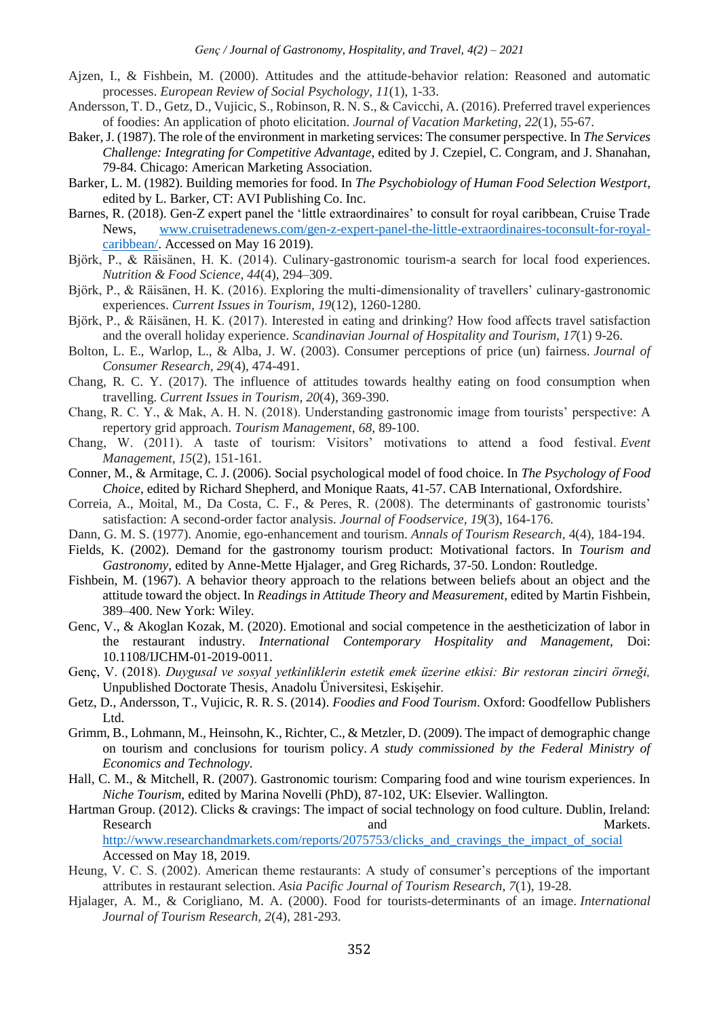- Ajzen, I., & Fishbein, M. (2000). Attitudes and the attitude-behavior relation: Reasoned and automatic processes. *European Review of Social Psychology, 11*(1), 1-33.
- [Andersson,](https://journals.sagepub.com/action/doSearch?target=default&ContribAuthorStored=Andersson%2C+Tommy+D) T. D., [Getz,](https://journals.sagepub.com/action/doSearch?target=default&ContribAuthorStored=Getz%2C+Donald) D.[, Vujicic,](https://journals.sagepub.com/action/doSearch?target=default&ContribAuthorStored=Vujicic%2C+Sanja) S.[, Robinson,](https://journals.sagepub.com/action/doSearch?target=default&ContribAuthorStored=Robinson%2C+Richard+NS) R. N. S., & [Cavicchi,](https://journals.sagepub.com/action/doSearch?target=default&ContribAuthorStored=Cavicchi%2C+Alessio) A. (2016). Preferred travel experiences of foodies: An application of photo elicitation. *Journal of Vacation Marketing*, *22*(1), 55-67.
- Baker, J. (1987). The role of the environment in marketing services: The consumer perspective. In *The Services Challenge: Integrating for Competitive Advantage,* edited by J. Czepiel, C. Congram, and J. Shanahan, 79-84. Chicago: American Marketing Association.
- Barker, L. M. (1982). Building memories for food. In *The Psychobiology of Human Food Selection Westport*, edited by L. Barker, CT: AVI Publishing Co. Inc.
- Barnes, R. (2018). Gen-Z expert panel the 'little extraordinaires' to consult for royal caribbean, Cruise Trade News, [www.cruisetradenews.com/gen-z-expert-panel-the-little-extraordinaires-toconsult-for-royal](http://www.cruisetradenews.com/gen-z-expert-panel-the-little-extraordinaires-toconsult-for-royal-caribbean/)[caribbean/.](http://www.cruisetradenews.com/gen-z-expert-panel-the-little-extraordinaires-toconsult-for-royal-caribbean/) Accessed on May 16 2019).
- Björk, P., & Räisänen, H. K. (2014). Culinary-gastronomic tourism-a search for local food experiences. *Nutrition & Food Science, 44*(4), 294–309.
- Björk, P., & Räisänen, H. K. (2016). Exploring the multi-dimensionality of travellers' culinary-gastronomic experiences. *Current Issues in Tourism, 19*(12), 1260-1280.
- Björk, P., & Räisänen, H. K. (2017). Interested in eating and drinking? How food affects travel satisfaction and the overall holiday experience. *Scandinavian Journal of Hospitality and Tourism, 17*(1) 9-26.
- Bolton, L. E., Warlop, L., & Alba, J. W. (2003). Consumer perceptions of price (un) fairness. *Journal of Consumer Research, 29*(4), 474-491.
- Chang, R. C. Y. (2017). The influence of attitudes towards healthy eating on food consumption when travelling. *Current Issues in Tourism, 20*(4), 369-390.
- Chang, R. C. Y., & Mak, A. H. N. (2018). Understanding gastronomic image from tourists' perspective: A repertory grid approach. *Tourism Management, 68*, 89-100.
- Chang, W. (2011). A taste of tourism: Visitors' motivations to attend a food festival. *Event Management, 15*(2), 151-161.
- Conner, M., & Armitage, C. J. (2006). Social psychological model of food choice. In *The Psychology of Food Choice*, edited by Richard Shepherd, and Monique Raats, 41-57. CAB International, Oxfordshire.
- [Correia,](https://onlinelibrary.wiley.com/action/doSearch?ContribAuthorStored=Correia%2C+Ant%C3%B3nia) A., [Moital,](https://onlinelibrary.wiley.com/action/doSearch?ContribAuthorStored=Moital%2C+Miguel) M., [Da Costa,](https://onlinelibrary.wiley.com/action/doSearch?ContribAuthorStored=da+Costa%2C+Carlos+Ferreira) C. F., & [Peres,](https://onlinelibrary.wiley.com/action/doSearch?ContribAuthorStored=Peres%2C+Rita) R. (2008). The determinants of gastronomic tourists' satisfaction: A second-order factor analysis. *Journal of Foodservice, 19*(3), 164-176.
- Dann, G. M. S. (1977). Anomie, ego-enhancement and tourism. *Annals of Tourism Research*, 4(4), 184-194.
- Fields, K. (2002). Demand for the gastronomy tourism product: Motivational factors. In *Tourism and Gastronomy*, edited by Anne-Mette Hjalager, and Greg Richards, 37-50. London: Routledge.
- Fishbein, M. (1967). A behavior theory approach to the relations between beliefs about an object and the attitude toward the object. In *Readings in Attitude Theory and Measurement,* edited by Martin Fishbein, 389–400. New York: Wiley.
- Genc, V., & Akoglan Kozak, M. (2020). Emotional and social competence in the aestheticization of labor in the restaurant industry. *International Contemporary Hospitality and Management,* Doi: 10.1108/IJCHM-01-2019-0011.
- Genç, V. (2018). *Duygusal ve sosyal yetkinliklerin estetik emek üzerine etkisi: Bir restoran zinciri örneği,*  Unpublished Doctorate Thesis, Anadolu Üniversitesi, Eskişehir.
- Getz, D., Andersson, T., Vujicic, R. R. S. (2014). *Foodies and Food Tourism*. Oxford: Goodfellow Publishers Ltd.
- Grimm, B., Lohmann, M., Heinsohn, K., Richter, C., & Metzler, D. (2009). The impact of demographic change on tourism and conclusions for tourism policy. *A study commissioned by the Federal Ministry of Economics and Technology*.
- Hall, C. M., & Mitchell, R. (2007). Gastronomic tourism: Comparing food and wine tourism experiences. In *Niche Tourism*, edited by Marina Novelli (PhD), 87-102, UK: Elsevier. Wallington.
- Hartman Group. (2012). Clicks & cravings: The impact of social technology on food culture. Dublin, Ireland: Research and and Markets. [http://www.researchandmarkets.com/reports/2075753/clicks\\_and\\_cravings\\_the\\_impact\\_of\\_social](http://www.researchandmarkets.com/reports/2075753/clicks_and_cravings_the_impact_of_social) Accessed on May 18, 2019.
- Heung, V. C. S. (2002). American theme restaurants: A study of consumer's perceptions of the important attributes in restaurant selection. *Asia Pacific Journal of Tourism Research*, *7*(1), 19-28.
- Hjalager, A. M., & Corigliano, M. A. (2000). Food for tourists-determinants of an image. *International Journal of Tourism Research, 2*(4), 281-293.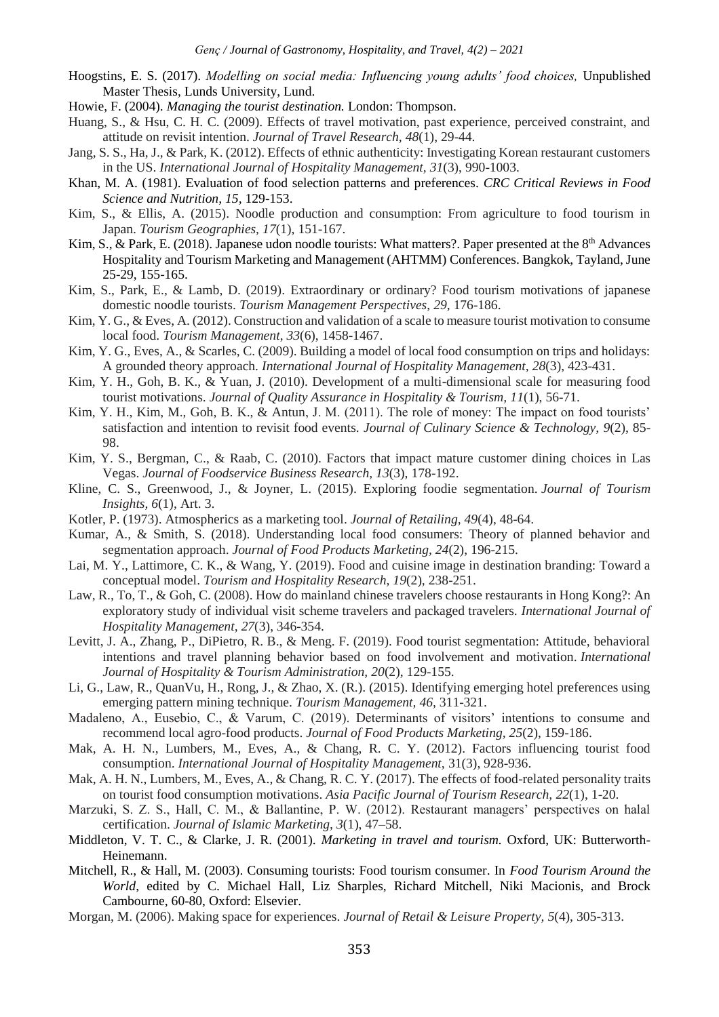- Hoogstins, E. S. (2017). *Modelling on social media: Influencing young adults' food choices,* Unpublished Master Thesis, Lunds University, Lund.
- Howie, F. (2004). *Managing the tourist destination.* London: Thompson.
- Huang, S., & Hsu, C. H. C. (2009). Effects of travel motivation, past experience, perceived constraint, and attitude on revisit intention. *Journal of Travel Research, 48*(1), 29-44.
- Jang, S. S., Ha, J., & Park, K. (2012). Effects of ethnic authenticity: Investigating Korean restaurant customers in the US. *International Journal of Hospitality Management, 31*(3), 990-1003.
- Khan, M. A. (1981). Evaluation of food selection patterns and preferences. *CRC Critical Reviews in Food Science and Nutrition, 15,* 129-153.
- Kim, S., & Ellis, A. (2015). Noodle production and consumption: From agriculture to food tourism in Japan. *Tourism Geographies, 17*(1), 151-167.
- Kim, S., & Park, E. (2018). Japanese udon noodle tourists: What matters?. Paper presented at the 8<sup>th</sup> Advances Hospitality and Tourism Marketing and Management (AHTMM) Conferences. Bangkok, Tayland, June 25-29, 155-165.
- Kim, S., Park, E., & Lamb, D. (2019). Extraordinary or ordinary? Food tourism motivations of japanese domestic noodle tourists. *Tourism Management Perspectives*, *29*, 176-186.
- Kim, Y. G., & Eves, A. (2012). Construction and validation of a scale to measure tourist motivation to consume local food. *Tourism Management*, *33*(6), 1458-1467.
- Kim, Y. G., Eves, A., & Scarles, C. (2009). Building a model of local food consumption on trips and holidays: A grounded theory approach. *International Journal of Hospitality Management, 28*(3), 423-431.
- Kim, Y. H., Goh, B. K., & Yuan, J. (2010). Development of a multi-dimensional scale for measuring food tourist motivations. *Journal of Quality Assurance in Hospitality & Tourism, 11*(1), 56-71.
- [Kim, Y. H.,](https://www.tandfonline.com/author/Kim%2C+Young+Hoon) [Kim,](https://www.tandfonline.com/author/Kim%2C+Mincheol) M., [Goh,](https://www.tandfonline.com/author/Goh%2C+Ben+K) B. K., & [Antun,](https://www.tandfonline.com/author/Antun%2C+John+M) J. M. (2011). The role of money: The impact on food tourists' satisfaction and intention to revisit food events. *Journal of Culinary Science & Technology, 9*(2), 85- 98.
- Kim, Y. S., Bergman, C., & Raab, C. (2010). Factors that impact mature customer dining choices in Las Vegas. *Journal of Foodservice Business Research, 13*(3), 178-192.
- Kline, C. S., Greenwood, J., & Joyner, L. (2015). Exploring foodie segmentation. *Journal of Tourism Insights, 6*(1), Art. 3.
- Kotler, P. (1973). Atmospherics as a marketing tool. *Journal of Retailing, 49*(4), 48-64.
- Kumar, A., & Smith, S. (2018). Understanding local food consumers: Theory of planned behavior and segmentation approach. *Journal of Food Products Marketing, 24*(2), 196-215.
- Lai, M. Y., Lattimore, C. K., & Wang, Y. (2019). Food and cuisine image in destination branding: Toward a conceptual model. *Tourism and Hospitality Research, 19*(2), 238-251.
- Law, R., To, T., & Goh, C. (2008). How do mainland chinese travelers choose restaurants in Hong Kong?: An exploratory study of individual visit scheme travelers and packaged travelers. *International Journal of Hospitality Management, 27*(3), 346-354.
- Levitt, J. A., Zhang, P., DiPietro, R. B., & Meng. F. (2019). Food tourist segmentation: Attitude, behavioral intentions and travel planning behavior based on food involvement and motivation. *International Journal of Hospitality & Tourism Administration, 20*(2), 129-155.
- Li, [G.,](https://www.sciencedirect.com/science/article/pii/S0261517714001174#!) [Law,](https://www.sciencedirect.com/science/article/pii/S0261517714001174#!) R., [QuanVu, H](https://www.sciencedirect.com/science/article/pii/S0261517714001174#!)., [Rong,](https://www.sciencedirect.com/science/article/pii/S0261517714001174#!) J., & [Zhao,](https://www.sciencedirect.com/science/article/pii/S0261517714001174#!) X. (R.). (2015). Identifying emerging hotel preferences using emerging pattern mining technique. *Tourism Management, 46,* 311-321.
- Madaleno, A., Eusebio, C., & Varum, C. (2019). Determinants of visitors' intentions to consume and recommend local agro-food products. *Journal of Food Products Marketing, 25*(2), 159-186.
- Mak, A. H. N., Lumbers, M., Eves, A., & Chang, R. C. Y. (2012). Factors influencing tourist food consumption. *International Journal of Hospitality Management,* 31(3), 928-936.
- Mak, A. H. N., Lumbers, M., Eves, A., & Chang, R. C. Y. (2017). The effects of food-related personality traits on tourist food consumption motivations. *Asia Pacific Journal of Tourism Research, 22*(1), 1-20.
- Marzuki, S. Z. S., Hall, C. M., & Ballantine, P. W. (2012). Restaurant managers' perspectives on halal certification. *Journal of Islamic Marketing, 3*(1), 47–58.
- Middleton, V. T. C., & Clarke, J. R. (2001). *Marketing in travel and tourism.* Oxford, UK: Butterworth-Heinemann.
- Mitchell, R., & Hall, M. (2003). Consuming tourists: Food tourism consumer. In *Food Tourism Around the World*, edited by C. Michael Hall, Liz Sharples, Richard Mitchell, Niki Macionis, and Brock Cambourne, 60-80, Oxford: Elsevier.
- Morgan, M. (2006). Making space for experiences. *Journal of Retail & Leisure Property, 5*(4), 305-313.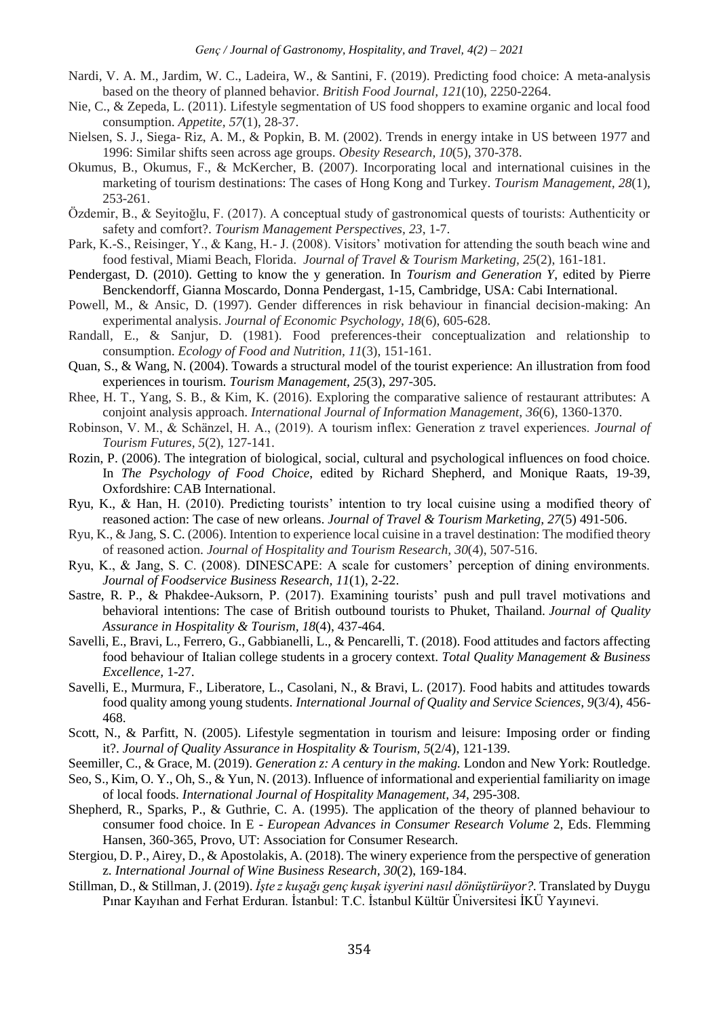- Nardi, V. A. M., Jardim, W. C., Ladeira, W., & Santini, F. (2019). Predicting food choice: A meta-analysis based on the theory of planned behavior. *British Food Journal, 121*(10), 2250-2264.
- Nie, C., & Zepeda, L. (2011). Lifestyle segmentation of US food shoppers to examine organic and local food consumption. *Appetite, 57*(1), 28-37.
- Nielsen, S. J., Siega- Riz, A. M., & Popkin, B. M. (2002). Trends in energy intake in US between 1977 and 1996: Similar shifts seen across age groups. *Obesity Research, 10*(5), 370-378.
- Okumus, B., Okumus, F., & McKercher, B. (2007). Incorporating local and international cuisines in the marketing of tourism destinations: The cases of Hong Kong and Turkey. *Tourism Management, 28*(1), 253-261.
- Özdemir, B., & Seyitoğlu, F. (2017). A conceptual study of gastronomical quests of tourists: Authenticity or safety and comfort?. *Tourism Management Perspectives, 23*, 1-7.
- Park, K.-S., Reisinger, Y., & Kang, H.‐ J. (2008). Visitors' motivation for attending the south beach wine and food festival, Miami Beach, Florida. *Journal of Travel & Tourism Marketing, 25*(2), 161-181.
- Pendergast, D. (2010). Getting to know the y generation. In *Tourism and Generation Y*, edited by Pierre Benckendorff, Gianna Moscardo, Donna Pendergast, 1-15, Cambridge, USA: Cabi International.
- Powell, M., & Ansic, D. (1997). Gender differences in risk behaviour in financial decision-making: An experimental analysis. *Journal of Economic Psychology, 18*(6), 605-628.
- Randall, E., & Sanjur, D. (1981). Food preferences-their conceptualization and relationship to consumption. *Ecology of Food and Nutrition, 11*(3), 151-161.
- Quan, S., & Wang, N. (2004). Towards a structural model of the tourist experience: An illustration from food experiences in tourism. *Tourism Management, 25*(3), 297-305.
- Rhee, H. T., Yang, S. B., & Kim, K. (2016). Exploring the comparative salience of restaurant attributes: A conjoint analysis approach. *International Journal of Information Management, 36*(6), 1360-1370.
- Robinson, V. M., & Schänzel, H. A., (2019). A tourism inflex: Generation z travel experiences. *Journal of Tourism Futures, 5*(2), 127-141.
- Rozin, P. (2006). The integration of biological, social, cultural and psychological influences on food choice. In *The Psychology of Food Choice*, edited by Richard Shepherd, and Monique Raats, 19-39, Oxfordshire: CAB International.
- Ryu, K., & Han, H. (2010). Predicting tourists' intention to try local cuisine using a modified theory of reasoned action: The case of new orleans. *Journal of Travel & Tourism Marketing, 27*(5) 491-506.
- Ryu, K., & Jang, S. C. (2006). Intention to experience local cuisine in a travel destination: The modified theory of reasoned action. *Journal of Hospitality and Tourism Research, 30*(4), 507-516.
- Ryu, K., & Jang, S. C. (2008). DINESCAPE: A scale for customers' perception of dining environments. *Journal of Foodservice Business Research, 11*(1), 2-22.
- Sastre, R. P., & Phakdee-Auksorn, P. (2017). Examining tourists' push and pull travel motivations and behavioral intentions: The case of British outbound tourists to Phuket, Thailand. *Journal of Quality Assurance in Hospitality & Tourism, 18*(4), 437-464.
- Savelli, E., Bravi, L., Ferrero, G., Gabbianelli, L., & Pencarelli, T. (2018). Food attitudes and factors affecting food behaviour of Italian college students in a grocery context. *Total Quality Management & Business Excellence,* 1-27.
- Savelli, E., Murmura, F., Liberatore, L., Casolani, N., & Bravi, L. (2017). Food habits and attitudes towards food quality among young students. *International Journal of Quality and Service Sciences, 9*(3/4), 456- 468.
- Scott, N., & Parfitt, N. (2005). Lifestyle segmentation in tourism and leisure: Imposing order or finding it?. *Journal of Quality Assurance in Hospitality & Tourism, 5*(2/4), 121-139.
- Seemiller, C., & Grace, M. (2019). *Generation z: A century in the making.* London and New York: Routledge.
- Seo, S., Kim, O. Y., Oh, S., & Yun, N. (2013). Influence of informational and experiential familiarity on image of local foods. *International Journal of Hospitality Management, 34*, 295-308.
- Shepherd, R., Sparks, P., & Guthrie, C. A. (1995). The application of the theory of planned behaviour to consumer food choice. In E - *European Advances in Consumer Research Volume* 2, Eds. Flemming Hansen, 360-365, Provo, UT: Association for Consumer Research.
- Stergiou, D. P., Airey, D., & Apostolakis, A. (2018). The winery experience from the perspective of generation z. *International Journal of Wine Business Research, 30*(2), 169-184.
- Stillman, D., & Stillman, J. (2019). *İşte z kuşağı genç kuşak işyerini nasıl dönüştürüyor?.* Translated by Duygu Pınar Kayıhan and Ferhat Erduran. İstanbul: T.C. İstanbul Kültür Üniversitesi İKÜ Yayınevi.